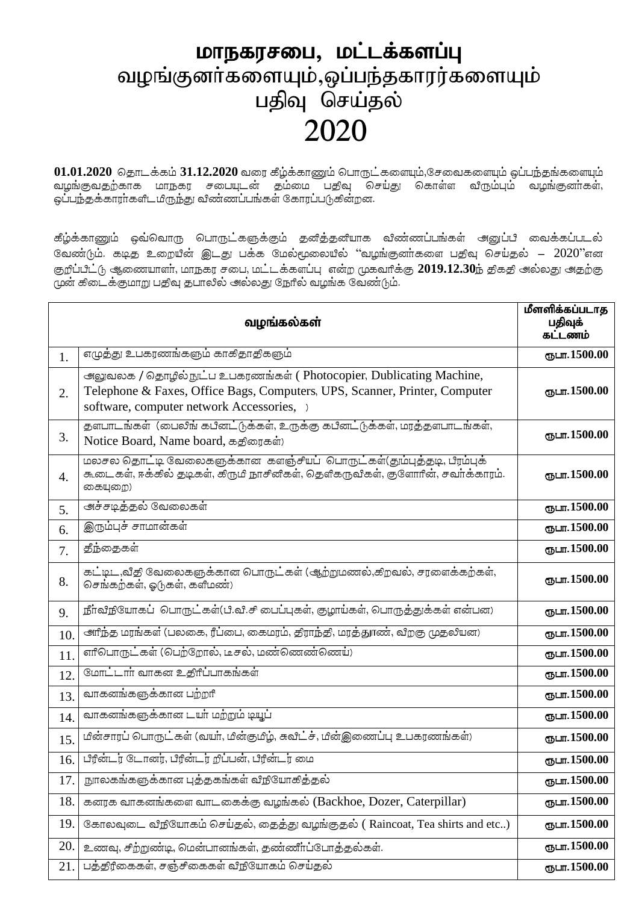## மாநகரசபை, மட்டக்களப்பு வழங்குனா்களையும்,ஒப்பந்தகாரர்களையும் பதிவு செய்தல் 2020

01.01.2020 தொடக்கம் 31.12.2020 வரை கீழ்க்காணும் பொருட்களையும்,சேவைகளையும் ஒப்ப<del>ந்</del>தங்களையும் வழங்குவதற்காக மாநகர சபையுடன் தம்மை பதிவு செய்து கொள்ள விரும்பும் வழங்குனா்கள், ஒப்பந்தக்காரா்களிடமிருந்து விண்ணப்பங்கள் கோரப்படுகின்றன.

கீழ்க்காணும் ஒவ்வொரு பொருட்களுக்கும் தனித்தனியாக விண்ணப்பங்கள் அனுப்பி வைக்கப்படல் வேண்டும். கடித உறையின் இடது பக்க மேல்மூலையில் "வழங்குனாகளை பதிவு செய்தல் –  $2020$ "என குறீப்பீட்டு ஆணையாளர், மாநகர சபை, மட்டக்களப்பு என்ற முகவரிக்கு 2019.12.30ந் திகதி அல்லது அதற்கு முன் கிடைக்குமாறு பதிவு தபாலில் அல்லது நேரில் வழங்க வேண்டும்.

|     | வழங்கல்கள்                                                                                                                                                                                     | மீளளிக்கப்படாத<br>பதிவுக்<br>கட்டணம் |
|-----|------------------------------------------------------------------------------------------------------------------------------------------------------------------------------------------------|--------------------------------------|
| 1.  | எழுத்து உபகரணங்களும் காகிதாதிகளும்                                                                                                                                                             | ரூபா.1500.00                         |
| 2.  | அலுவலக / தொழில் நுட்ப உபகரணங்கள் (Photocopier, Dublicating Machine,<br>Telephone & Faxes, Office Bags, Computers, UPS, Scanner, Printer, Computer<br>software, computer network Accessories, ) | ரூபா.1500.00                         |
| 3.  | தளபாடங்கள் (பைலிங் கபினட்டுக்கள், உருக்கு கபினட்டுக்கள், மரத்தளபாடங்கள்,<br>Notice Board, Name board, கதிரைகள்)                                                                                | ரூபா.1500.00                         |
| 4.  | மலசல தொட்டி வேலைகளுக்கான களஞ்சியப் பொருட்கள்(தும்புத்தடி, பீரம்புக்<br>கூடைகள், ஈக்கில் தடிகள், கிருமி நாசினிகள், தெளிகருவிகள், குளோரின், சவர்க்காரம்.<br>கையுறை)                              | ரூபா.1500.00                         |
| 5.  | அச்சடித்தல் வேலைகள்                                                                                                                                                                            | ரூபா.1500.00                         |
| 6.  | இரும்புச் சாமான்கள்                                                                                                                                                                            | ரூபா.1500.00                         |
| 7.  | <u>தீந்தை</u> கள்                                                                                                                                                                              | ரூபா.1500.00                         |
| 8.  | கட்டிட ,வீதி வேலைகளுக்கான பொருட்கள் (ஆற்றுமணல்,கிறவல், சரளைக்கற்கள்,<br>செங்கற்கள், ஓடுகள், களிமண்)                                                                                            | ரூபா.1500.00                         |
| 9.  | நீர்விநியோகப் பொருட்கள்(பி.வி.சி பைப்புகள், குழாய்கள், பொருத்துக்கள் என்பன)                                                                                                                    | $CDL$ m. 1500.00                     |
| 10. | <u> அரிந்த</u> மரங்கள் (பலகை, ரீப்பை, கைமரம், திராந்தி, மரத்துாண், விறகு முதலியன)                                                                                                              | ரூபா.1500.00                         |
| 11. | எரிபொருட்கள் (பெற்றோல், டீசல், மண்ணெண்ணெய்)                                                                                                                                                    | ருபா.1500.00                         |
| 12. | மோட்டார் வாகன உதிரீப்பாகங்கள்                                                                                                                                                                  | ரூபா.1500.00                         |
| 13. | வாகனங்களுக்கான பற்றரி                                                                                                                                                                          | ரூபா.1500.00                         |
| 14. | வாகனங்களுக்கான டயர் மற்றும் டியூப்                                                                                                                                                             | ரூபா.1500.00                         |
| 15. | மின்சாரப் பொருட்கள் (வயர், மின்குமிழ், சுவிட்ச், மின்இணைப்பு உபகரணங்கள்)                                                                                                                       | ரூபா.1500.00                         |
| 16. | பீரீன்டர் டோனர், பீரீன்டர் றீப்பன், பீரீன்டர் மை                                                                                                                                               | ரூபா.1500.00                         |
| 17. | நூலகங்களுக்கான புத்தகங்கள் வீநியோகித்தல்                                                                                                                                                       | ரூபா.1500.00                         |
| 18. | கனரக வாகனங்களை வாடகைக்கு வழங்கல் (Backhoe, Dozer, Caterpillar)                                                                                                                                 | ரூபா.1500.00                         |
| 19. | கோலவுடை விநியோகம் செய்தல், தைத்து வழங்குதல் ( Raincoat, Tea shirts and etc)                                                                                                                    | ரூபா.1500.00                         |
| 20. | உணவு, சிற்றுண்டி, மென்பானங்கள், தண்ணீர்ப்போத்தல்கள்.                                                                                                                                           | ரூபா.1500.00                         |
| 21. | பத்திரிகைகள், சஞ்சிகைகள் விநியோகம் செய்தல்                                                                                                                                                     | ரூபா.1500.00                         |